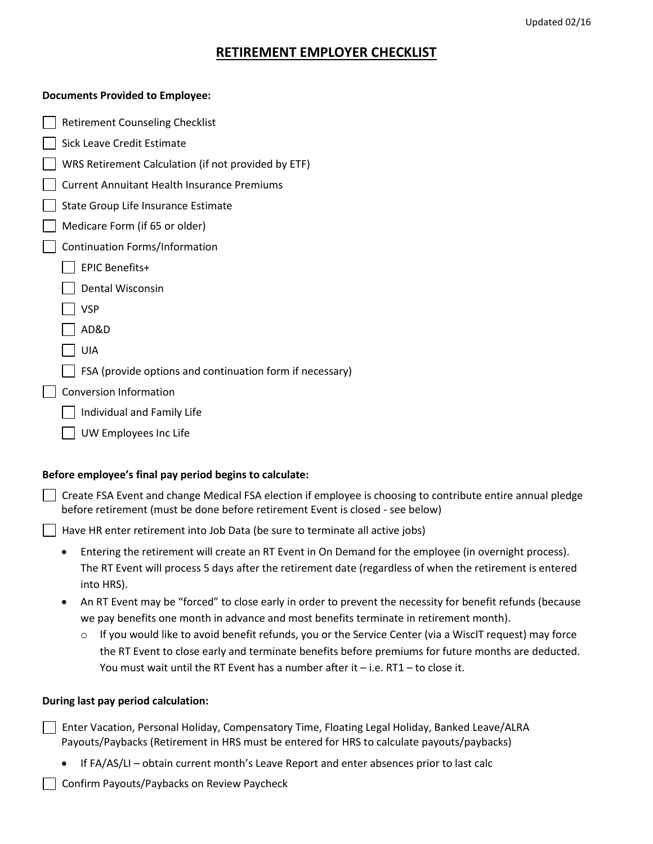#### Updated 02/16

## **RETIREMENT EMPLOYER CHECKLIST**

#### **Documents Provided to Employee:**

| <b>Retirement Counseling Checklist</b>                   |
|----------------------------------------------------------|
| Sick Leave Credit Estimate                               |
| WRS Retirement Calculation (if not provided by ETF)      |
| <b>Current Annuitant Health Insurance Premiums</b>       |
| State Group Life Insurance Estimate                      |
| Medicare Form (if 65 or older)                           |
| Continuation Forms/Information                           |
| <b>EPIC Benefits+</b>                                    |
| Dental Wisconsin                                         |
| <b>VSP</b>                                               |
| AD&D                                                     |
| UIA                                                      |
| FSA (provide options and continuation form if necessary) |
| <b>Conversion Information</b>                            |
| Individual and Family Life                               |
| UW Employees Inc Life                                    |
|                                                          |

### **Before employee's final pay period begins to calculate:**

 $\Box$  Create FSA Event and change Medical FSA election if employee is choosing to contribute entire annual pledge before retirement (must be done before retirement Event is closed - see below)

Have HR enter retirement into Job Data (be sure to terminate all active jobs)

- Entering the retirement will create an RT Event in On Demand for the employee (in overnight process). The RT Event will process 5 days after the retirement date (regardless of when the retirement is entered into HRS).
- An RT Event may be "forced" to close early in order to prevent the necessity for benefit refunds (because we pay benefits one month in advance and most benefits terminate in retirement month).
	- $\circ$  If you would like to avoid benefit refunds, you or the Service Center (via a WiscIT request) may force the RT Event to close early and terminate benefits before premiums for future months are deducted. You must wait until the RT Event has a number after it – i.e. RT1 – to close it.

### **During last pay period calculation:**

- Enter Vacation, Personal Holiday, Compensatory Time, Floating Legal Holiday, Banked Leave/ALRA Payouts/Paybacks (Retirement in HRS must be entered for HRS to calculate payouts/paybacks)
	- If FA/AS/LI obtain current month's Leave Report and enter absences prior to last calc

Confirm Payouts/Paybacks on Review Paycheck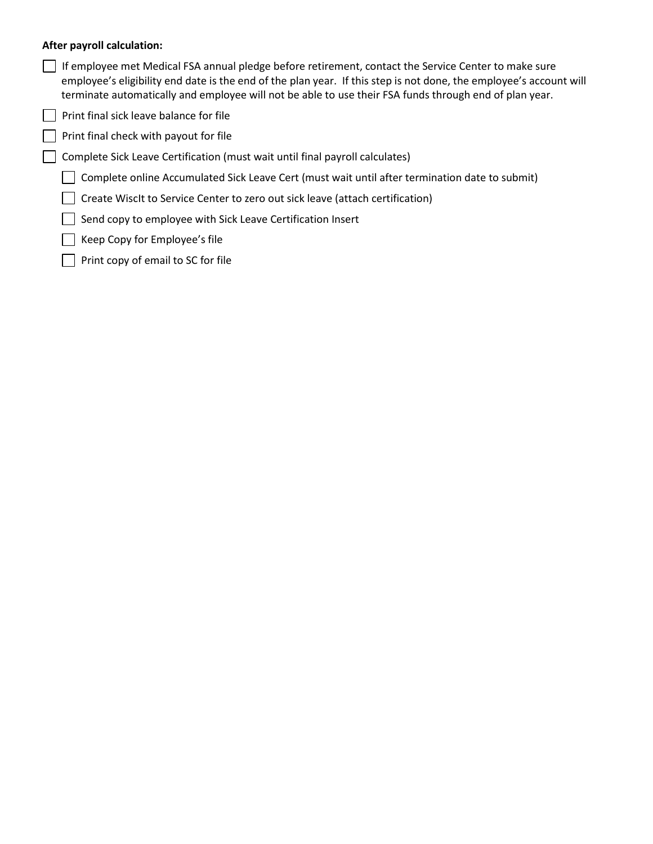### **After payroll calculation:**

- If employee met Medical FSA annual pledge before retirement, contact the Service Center to make sure employee's eligibility end date is the end of the plan year. If this step is not done, the employee's account will terminate automatically and employee will not be able to use their FSA funds through end of plan year.
- $\Box$  Print final sick leave balance for file
- $\Box$  Print final check with payout for file
- Complete Sick Leave Certification (must wait until final payroll calculates)
	- $\Box$  Complete online Accumulated Sick Leave Cert (must wait until after termination date to submit)
	- Create WiscIt to Service Center to zero out sick leave (attach certification)
	- Send copy to employee with Sick Leave Certification Insert
	- $\Box$  Keep Copy for Employee's file
	- $\Box$  Print copy of email to SC for file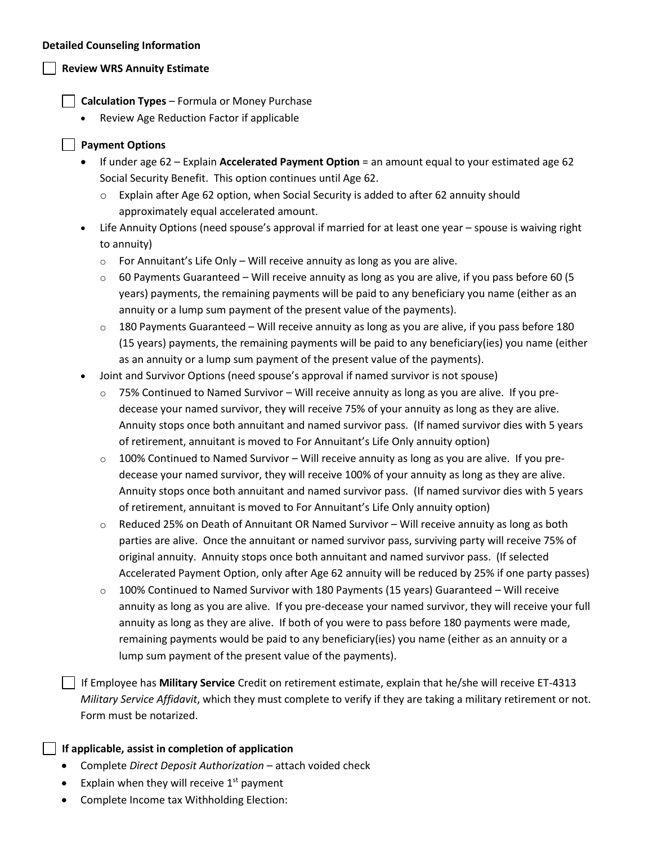#### **Detailed Counseling Information**

## **Review WRS Annuity Estimate**

**Calculation Types** – Formula or Money Purchase

Review Age Reduction Factor if applicable

## **Payment Options**

- If under age 62 Explain **Accelerated Payment Option** = an amount equal to your estimated age 62 Social Security Benefit. This option continues until Age 62.
	- $\circ$  Explain after Age 62 option, when Social Security is added to after 62 annuity should approximately equal accelerated amount.
- Life Annuity Options (need spouse's approval if married for at least one year spouse is waiving right to annuity)
	- $\circ$  For Annuitant's Life Only Will receive annuity as long as you are alive.
	- $\circ$  60 Payments Guaranteed Will receive annuity as long as you are alive, if you pass before 60 (5) years) payments, the remaining payments will be paid to any beneficiary you name (either as an annuity or a lump sum payment of the present value of the payments).
	- $\circ$  180 Payments Guaranteed Will receive annuity as long as you are alive, if you pass before 180 (15 years) payments, the remaining payments will be paid to any beneficiary(ies) you name (either as an annuity or a lump sum payment of the present value of the payments).
- Joint and Survivor Options (need spouse's approval if named survivor is not spouse)
	- o 75% Continued to Named Survivor Will receive annuity as long as you are alive. If you predecease your named survivor, they will receive 75% of your annuity as long as they are alive. Annuity stops once both annuitant and named survivor pass. (If named survivor dies with 5 years of retirement, annuitant is moved to For Annuitant's Life Only annuity option)
	- $\circ$  100% Continued to Named Survivor Will receive annuity as long as you are alive. If you predecease your named survivor, they will receive 100% of your annuity as long as they are alive. Annuity stops once both annuitant and named survivor pass. (If named survivor dies with 5 years of retirement, annuitant is moved to For Annuitant's Life Only annuity option)
	- $\circ$  Reduced 25% on Death of Annuitant OR Named Survivor Will receive annuity as long as both parties are alive. Once the annuitant or named survivor pass, surviving party will receive 75% of original annuity. Annuity stops once both annuitant and named survivor pass. (If selected Accelerated Payment Option, only after Age 62 annuity will be reduced by 25% if one party passes)
	- $\circ$  100% Continued to Named Survivor with 180 Payments (15 years) Guaranteed Will receive annuity as long as you are alive. If you pre-decease your named survivor, they will receive your full annuity as long as they are alive. If both of you were to pass before 180 payments were made, remaining payments would be paid to any beneficiary(ies) you name (either as an annuity or a lump sum payment of the present value of the payments).

 If Employee has **Military Service** Credit on retirement estimate, explain that he/she will receive ET-4313 *Military Service Affidavit*, which they must complete to verify if they are taking a military retirement or not. Form must be notarized.

### **If applicable, assist in completion of application**

- Complete *Direct Deposit Authorization* attach voided check
- Explain when they will receive  $1<sup>st</sup>$  payment
- Complete Income tax Withholding Election: